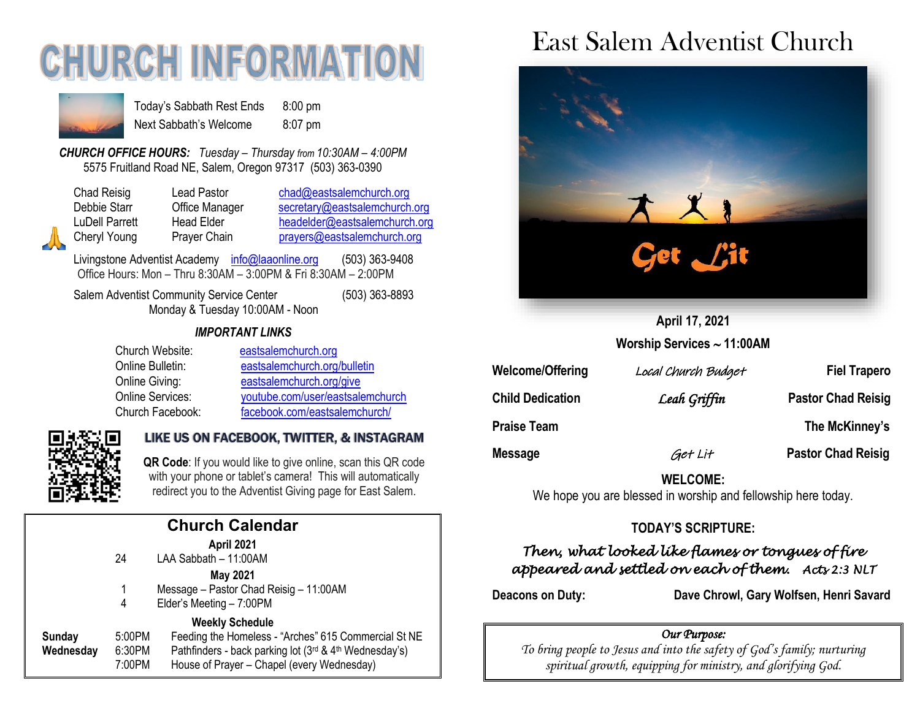# **CHURCH INFORMAT**



Today's Sabbath Rest Ends 8:00 pm Next Sabbath's Welcome 8:07 pm

*CHURCH OFFICE HOURS: Tuesday – Thursday from 10:30AM – 4:00PM* 5575 Fruitland Road NE, Salem, Oregon 97317 (503) 363-0390

| Chad Reisig           |  |
|-----------------------|--|
| Debbie Starr          |  |
| <b>LuDell Parrett</b> |  |
| Cheryl Young          |  |
|                       |  |

Lead Pastor [chad@eastsalemchurch.org](mailto:chad@eastsalemchurch.org) Office Manager [secretary@eastsalemchurch.org](mailto:secretary@eastsalemchurch.org) Head Elder [headelder@eastsalemchurch.org](mailto:headelder@eastsalemchurch.org) Prayer Chain [prayers@eastsalemchurch.org](mailto:prayers@eastsalemchurch.org)

Livingstone Adventist Academy [info@laaonline.org](mailto:info@laaonline.org) (503) 363-9408 Office Hours: Mon – Thru 8:30AM – 3:00PM & Fri 8:30AM – 2:00PM

Salem Adventist Community Service Center (503) 363-8893 Monday & Tuesday 10:00AM - Noon

#### *IMPORTANT LINKS*

| Church Website:         | eastsalemchurch.org              |
|-------------------------|----------------------------------|
| Online Bulletin:        | eastsalemchurch.org/bulletin     |
| Online Giving:          | eastsalemchurch.org/give         |
| <b>Online Services:</b> | youtube.com/user/eastsalemchurch |
| Church Facebook:        | facebook.com/eastsalemchurch/    |



#### LIKE US ON FACEBOOK, TWITTER, & INSTAGRAM

**QR Code**: If you would like to give online, scan this QR code with your phone or tablet's camera! This will automatically redirect you to the Adventist Giving page for East Salem.

|                     |                            | <b>Church Calendar</b>                                                                                                                                                                 |
|---------------------|----------------------------|----------------------------------------------------------------------------------------------------------------------------------------------------------------------------------------|
|                     | 24                         | April 2021<br>LAA Sabbath - 11:00AM                                                                                                                                                    |
|                     | 1<br>4                     | <b>May 2021</b><br>Message - Pastor Chad Reisig - 11:00AM<br>Elder's Meeting - 7:00PM                                                                                                  |
| Sunday<br>Wednesday | 5:00PM<br>6:30PM<br>7:00PM | <b>Weekly Schedule</b><br>Feeding the Homeless - "Arches" 615 Commercial St NE<br>Pathfinders - back parking lot (3rd & 4th Wednesday's)<br>House of Prayer - Chapel (every Wednesday) |
|                     |                            |                                                                                                                                                                                        |

## East Salem Adventist Church



**April 17, 2021 Worship Services 11:00AM**

| <b>Welcome/Offering</b> | Local Church Budget | <b>Fiel Trapero</b>       |
|-------------------------|---------------------|---------------------------|
| <b>Child Dedication</b> | Leah Griffin        | <b>Pastor Chad Reisig</b> |
| <b>Praise Team</b>      |                     | The McKinney's            |
| <b>Message</b>          | Get Lit             | <b>Pastor Chad Reisig</b> |

**WELCOME:**  We hope you are blessed in worship and fellowship here today.

#### **TODAY'S SCRIPTURE:**

#### *Then, what looked like flames or tongues of fire appeared and settled on each of them. Acts 2:3 NLT*

**Deacons on Duty: Dave Chrowl, Gary Wolfsen, Henri Savard**

#### *Our Purpose:*

*To bring people to Jesus and into the safety of God's family; nurturing spiritual growth, equipping for ministry, and glorifying God.*